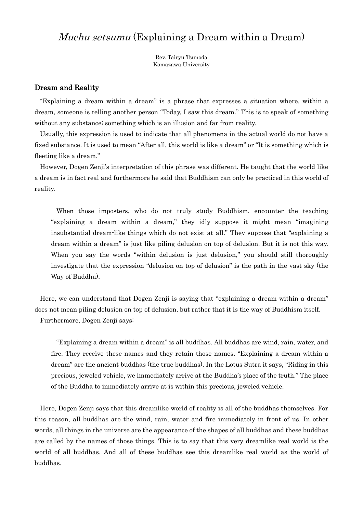# Muchu setsumu (Explaining a Dream within a Dream)

Rev. Tairyu Tsunoda Komazawa University

## Dream and Reality

"Explaining a dream within a dream" is a phrase that expresses a situation where, within a dream, someone is telling another person "Today, I saw this dream." This is to speak of something without any substance; something which is an illusion and far from reality.

Usually, this expression is used to indicate that all phenomena in the actual world do not have a fixed substance. It is used to mean "After all, this world is like a dream" or "It is something which is fleeting like a dream."

However, Dogen Zenji's interpretation of this phrase was different. He taught that the world like a dream is in fact real and furthermore he said that Buddhism can only be practiced in this world of reality.

When those imposters, who do not truly study Buddhism, encounter the teaching "explaining a dream within a dream," they idly suppose it might mean "imagining insubstantial dream-like things which do not exist at all." They suppose that "explaining a dream within a dream" is just like piling delusion on top of delusion. But it is not this way. When you say the words "within delusion is just delusion," you should still thoroughly investigate that the expression "delusion on top of delusion" is the path in the vast sky (the Way of Buddha).

Here, we can understand that Dogen Zenji is saying that "explaining a dream within a dream" does not mean piling delusion on top of delusion, but rather that it is the way of Buddhism itself. Furthermore, Dogen Zenji says:

"Explaining a dream within a dream" is all buddhas. All buddhas are wind, rain, water, and fire. They receive these names and they retain those names. "Explaining a dream within a dream" are the ancient buddhas (the true buddhas). In the Lotus Sutra it says, "Riding in this precious, jeweled vehicle, we immediately arrive at the Buddha's place of the truth." The place of the Buddha to immediately arrive at is within this precious, jeweled vehicle.

Here, Dogen Zenji says that this dreamlike world of reality is all of the buddhas themselves. For this reason, all buddhas are the wind, rain, water and fire immediately in front of us. In other words, all things in the universe are the appearance of the shapes of all buddhas and these buddhas are called by the names of those things. This is to say that this very dreamlike real world is the world of all buddhas. And all of these buddhas see this dreamlike real world as the world of buddhas.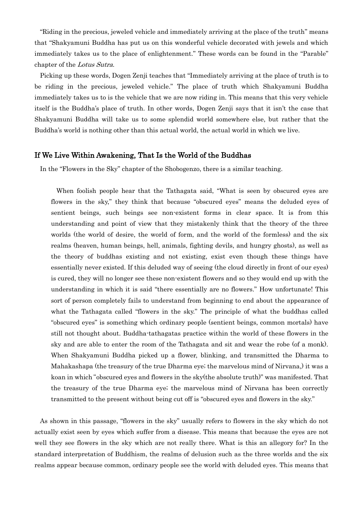"Riding in the precious, jeweled vehicle and immediately arriving at the place of the truth" means that "Shakyamuni Buddha has put us on this wonderful vehicle decorated with jewels and which immediately takes us to the place of enlightenment." These words can be found in the "Parable" chapter of the Lotus Sutra.

Picking up these words, Dogen Zenji teaches that "Immediately arriving at the place of truth is to be riding in the precious, jeweled vehicle." The place of truth which Shakyamuni Buddha immediately takes us to is the vehicle that we are now riding in. This means that this very vehicle itself is the Buddha's place of truth. In other words, Dogen Zenji says that it isn't the case that Shakyamuni Buddha will take us to some splendid world somewhere else, but rather that the Buddha's world is nothing other than this actual world, the actual world in which we live.

#### If We Live Within Awakening, That Is the World of the Buddhas

In the "Flowers in the Sky" chapter of the Shobogenzo, there is a similar teaching.

When foolish people hear that the Tathagata said, "What is seen by obscured eyes are flowers in the sky," they think that because "obscured eyes" means the deluded eyes of sentient beings, such beings see non-existent forms in clear space. It is from this understanding and point of view that they mistakenly think that the theory of the three worlds (the world of desire, the world of form, and the world of the formless) and the six realms (heaven, human beings, hell, animals, fighting devils, and hungry ghosts), as well as the theory of buddhas existing and not existing, exist even though these things have essentially never existed. If this deluded way of seeing (the cloud directly in front of our eyes) is cured, they will no longer see these non-existent flowers and so they would end up with the understanding in which it is said "there essentially are no flowers." How unfortunate! This sort of person completely fails to understand from beginning to end about the appearance of what the Tathagata called "flowers in the sky." The principle of what the buddhas called "obscured eyes" is something which ordinary people (sentient beings, common mortals) have still not thought about. Buddha-tathagatas practice within the world of these flowers in the sky and are able to enter the room of the Tathagata and sit and wear the robe (of a monk). When Shakyamuni Buddha picked up a flower, blinking, and transmitted the Dharma to Mahakashapa (the treasury of the true Dharma eye; the marvelous mind of Nirvana,) it was a koan in which"obscured eyes and flowers in the sky(the absolute truth)" was manifested. That the treasury of the true Dharma eye; the marvelous mind of Nirvana has been correctly transmitted to the present without being cut off is "obscured eyes and flowers in the sky."

As shown in this passage, "flowers in the sky" usually refers to flowers in the sky which do not actually exist seen by eyes which suffer from a disease. This means that because the eyes are not well they see flowers in the sky which are not really there. What is this an allegory for? In the standard interpretation of Buddhism, the realms of delusion such as the three worlds and the six realms appear because common, ordinary people see the world with deluded eyes. This means that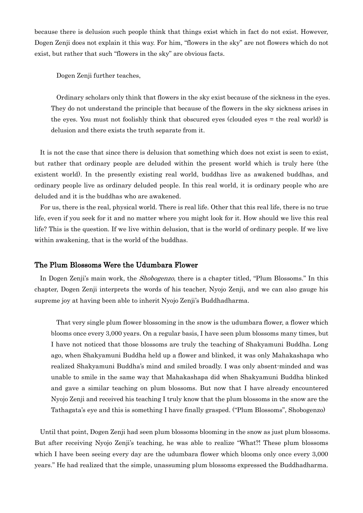because there is delusion such people think that things exist which in fact do not exist. However, Dogen Zenji does not explain it this way. For him, "flowers in the sky" are not flowers which do not exist, but rather that such "flowers in the sky" are obvious facts.

Dogen Zenji further teaches,

Ordinary scholars only think that flowers in the sky exist because of the sickness in the eyes. They do not understand the principle that because of the flowers in the sky sickness arises in the eyes. You must not foolishly think that obscured eyes (clouded eyes = the real world) is delusion and there exists the truth separate from it.

It is not the case that since there is delusion that something which does not exist is seen to exist, but rather that ordinary people are deluded within the present world which is truly here (the existent world). In the presently existing real world, buddhas live as awakened buddhas, and ordinary people live as ordinary deluded people. In this real world, it is ordinary people who are deluded and it is the buddhas who are awakened.

For us, there is the real, physical world. There is real life. Other that this real life, there is no true life, even if you seek for it and no matter where you might look for it. How should we live this real life? This is the question. If we live within delusion, that is the world of ordinary people. If we live within awakening, that is the world of the buddhas.

## The Plum Blossoms Were the Udumbara Flower

In Dogen Zenji's main work, the *Shobogenzo*, there is a chapter titled, "Plum Blossoms." In this chapter, Dogen Zenji interprets the words of his teacher, Nyojo Zenji, and we can also gauge his supreme joy at having been able to inherit Nyojo Zenji's Buddhadharma.

That very single plum flower blossoming in the snow is the udumbara flower, a flower which blooms once every 3,000 years. On a regular basis, I have seen plum blossoms many times, but I have not noticed that those blossoms are truly the teaching of Shakyamuni Buddha. Long ago, when Shakyamuni Buddha held up a flower and blinked, it was only Mahakashapa who realized Shakyamuni Buddha's mind and smiled broadly. I was only absent-minded and was unable to smile in the same way that Mahakashapa did when Shakyamuni Buddha blinked and gave a similar teaching on plum blossoms. But now that I have already encountered Nyojo Zenji and received his teaching I truly know that the plum blossoms in the snow are the Tathagata's eye and this is something I have finally grasped. ("Plum Blossoms", Shobogenzo)

Until that point, Dogen Zenji had seen plum blossoms blooming in the snow as just plum blossoms. But after receiving Nyojo Zenji's teaching, he was able to realize "What?! These plum blossoms which I have been seeing every day are the udumbara flower which blooms only once every 3,000 years." He had realized that the simple, unassuming plum blossoms expressed the Buddhadharma.